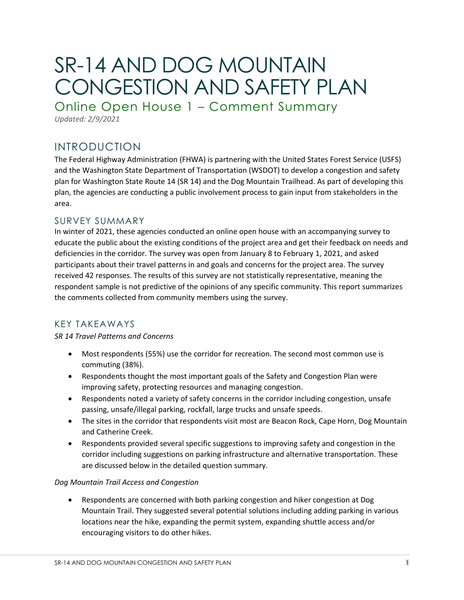# SR-14 AND DOG MOUNTAIN CONGESTION AND SAFETY PLAN

Online Open House 1 – Comment Summary

*Updated: 2/9/2021*

# INTRODUCTION

The Federal Highway Administration (FHWA) is partnering with the United States Forest Service (USFS) and the Washington State Department of Transportation (WSDOT) to develop a congestion and safety plan for Washington State Route 14 (SR 14) and the Dog Mountain Trailhead. As part of developing this plan, the agencies are conducting a public involvement process to gain input from stakeholders in the area.

# SURVEY SUMMARY

In winter of 2021, these agencies conducted an online open house with an accompanying survey to educate the public about the existing conditions of the project area and get their feedback on needs and deficiencies in the corridor. The survey was open from January 8 to February 1, 2021, and asked participants about their travel patterns in and goals and concerns for the project area. The survey received 42 responses. The results of this survey are not statistically representative, meaning the respondent sample is not predictive of the opinions of any specific community. This report summarizes the comments collected from community members using the survey.

# KEY TAKEAWAYS

*SR 14 Travel Patterns and Concerns*

- Most respondents (55%) use the corridor for recreation. The second most common use is commuting (38%).
- Respondents thought the most important goals of the Safety and Congestion Plan were improving safety, protecting resources and managing congestion.
- Respondents noted a variety of safety concerns in the corridor including congestion, unsafe passing, unsafe/illegal parking, rockfall, large trucks and unsafe speeds.
- The sites in the corridor that respondents visit most are Beacon Rock, Cape Horn, Dog Mountain and Catherine Creek.
- Respondents provided several specific suggestions to improving safety and congestion in the corridor including suggestions on parking infrastructure and alternative transportation. These are discussed below in the detailed question summary.

## *Dog Mountain Trail Access and Congestion*

• Respondents are concerned with both parking congestion and hiker congestion at Dog Mountain Trail. They suggested several potential solutions including adding parking in various locations near the hike, expanding the permit system, expanding shuttle access and/or encouraging visitors to do other hikes.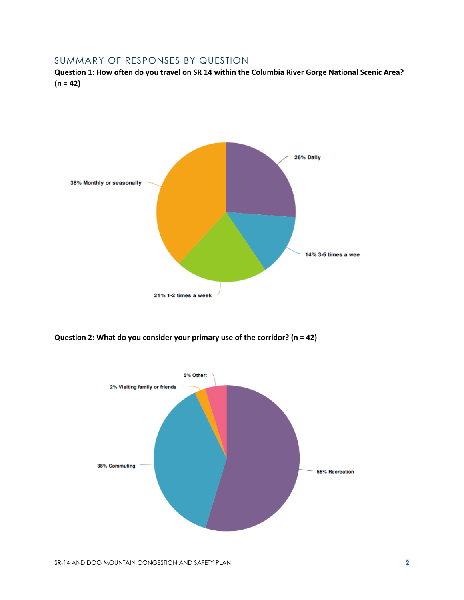# SUMMARY OF RESPONSES BY QUESTION

**Question 1: How often do you travel on SR 14 within the Columbia River Gorge National Scenic Area? (n = 42)**



**Question 2: What do you consider your primary use of the corridor? (n = 42)**

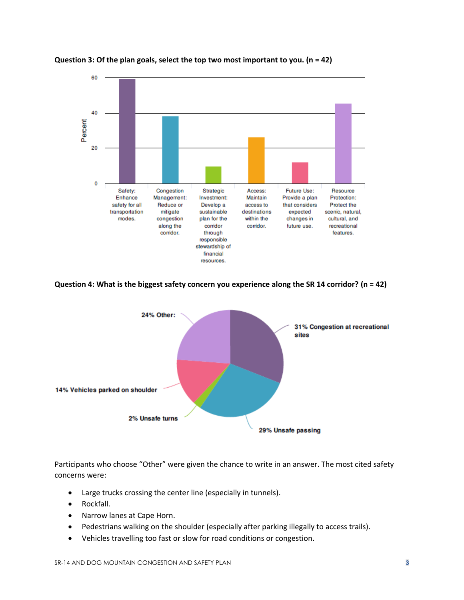



**Question 4: What is the biggest safety concern you experience along the SR 14 corridor? (n = 42)**



Participants who choose "Other" were given the chance to write in an answer. The most cited safety concerns were:

- Large trucks crossing the center line (especially in tunnels).
- Rockfall.
- Narrow lanes at Cape Horn.
- Pedestrians walking on the shoulder (especially after parking illegally to access trails).
- Vehicles travelling too fast or slow for road conditions or congestion.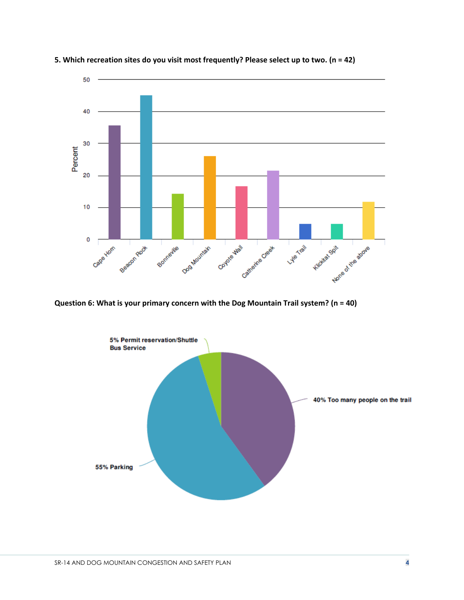

**5. Which recreation sites do you visit most frequently? Please select up to two. (n = 42)**

**Question 6: What is your primary concern with the Dog Mountain Trail system? (n = 40)**

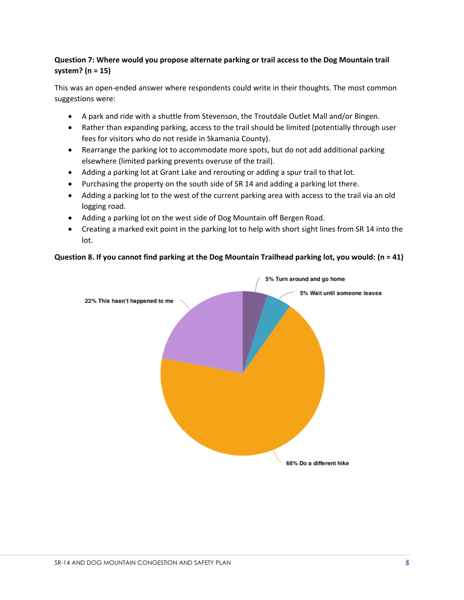# **Question 7: Where would you propose alternate parking or trail access to the Dog Mountain trail system? (n = 15)**

This was an open-ended answer where respondents could write in their thoughts. The most common suggestions were:

- A park and ride with a shuttle from Stevenson, the Troutdale Outlet Mall and/or Bingen.
- Rather than expanding parking, access to the trail should be limited (potentially through user fees for visitors who do not reside in Skamania County).
- Rearrange the parking lot to accommodate more spots, but do not add additional parking elsewhere (limited parking prevents overuse of the trail).
- Adding a parking lot at Grant Lake and rerouting or adding a spur trail to that lot.
- Purchasing the property on the south side of SR 14 and adding a parking lot there.
- Adding a parking lot to the west of the current parking area with access to the trail via an old logging road.
- Adding a parking lot on the west side of Dog Mountain off Bergen Road.
- Creating a marked exit point in the parking lot to help with short sight lines from SR 14 into the lot.

#### **Question 8. If you cannot find parking at the Dog Mountain Trailhead parking lot, you would: (n = 41)**

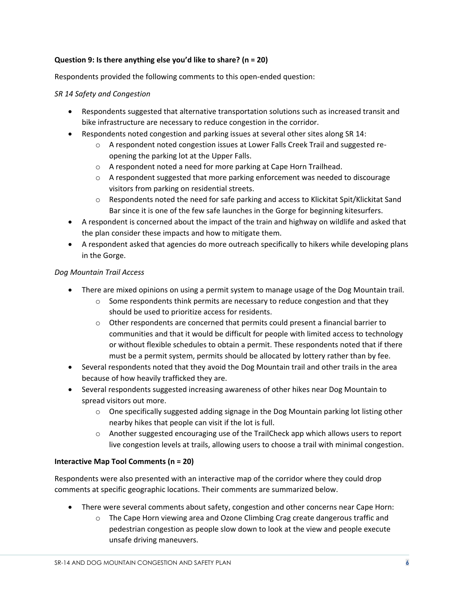### **Question 9: Is there anything else you'd like to share? (n = 20)**

Respondents provided the following comments to this open-ended question:

#### *SR 14 Safety and Congestion*

- Respondents suggested that alternative transportation solutions such as increased transit and bike infrastructure are necessary to reduce congestion in the corridor.
- Respondents noted congestion and parking issues at several other sites along SR 14:
	- o A respondent noted congestion issues at Lower Falls Creek Trail and suggested reopening the parking lot at the Upper Falls.
	- o A respondent noted a need for more parking at Cape Horn Trailhead.
	- $\circ$  A respondent suggested that more parking enforcement was needed to discourage visitors from parking on residential streets.
	- o Respondents noted the need for safe parking and access to Klickitat Spit/Klickitat Sand Bar since it is one of the few safe launches in the Gorge for beginning kitesurfers.
- A respondent is concerned about the impact of the train and highway on wildlife and asked that the plan consider these impacts and how to mitigate them.
- A respondent asked that agencies do more outreach specifically to hikers while developing plans in the Gorge.

#### *Dog Mountain Trail Access*

- There are mixed opinions on using a permit system to manage usage of the Dog Mountain trail.
	- $\circ$  Some respondents think permits are necessary to reduce congestion and that they should be used to prioritize access for residents.
	- $\circ$  Other respondents are concerned that permits could present a financial barrier to communities and that it would be difficult for people with limited access to technology or without flexible schedules to obtain a permit. These respondents noted that if there must be a permit system, permits should be allocated by lottery rather than by fee.
- Several respondents noted that they avoid the Dog Mountain trail and other trails in the area because of how heavily trafficked they are.
- Several respondents suggested increasing awareness of other hikes near Dog Mountain to spread visitors out more.
	- $\circ$  One specifically suggested adding signage in the Dog Mountain parking lot listing other nearby hikes that people can visit if the lot is full.
	- o Another suggested encouraging use of the TrailCheck app which allows users to report live congestion levels at trails, allowing users to choose a trail with minimal congestion.

#### **Interactive Map Tool Comments (n = 20)**

Respondents were also presented with an interactive map of the corridor where they could drop comments at specific geographic locations. Their comments are summarized below.

- There were several comments about safety, congestion and other concerns near Cape Horn:
	- $\circ$  The Cape Horn viewing area and Ozone Climbing Crag create dangerous traffic and pedestrian congestion as people slow down to look at the view and people execute unsafe driving maneuvers.